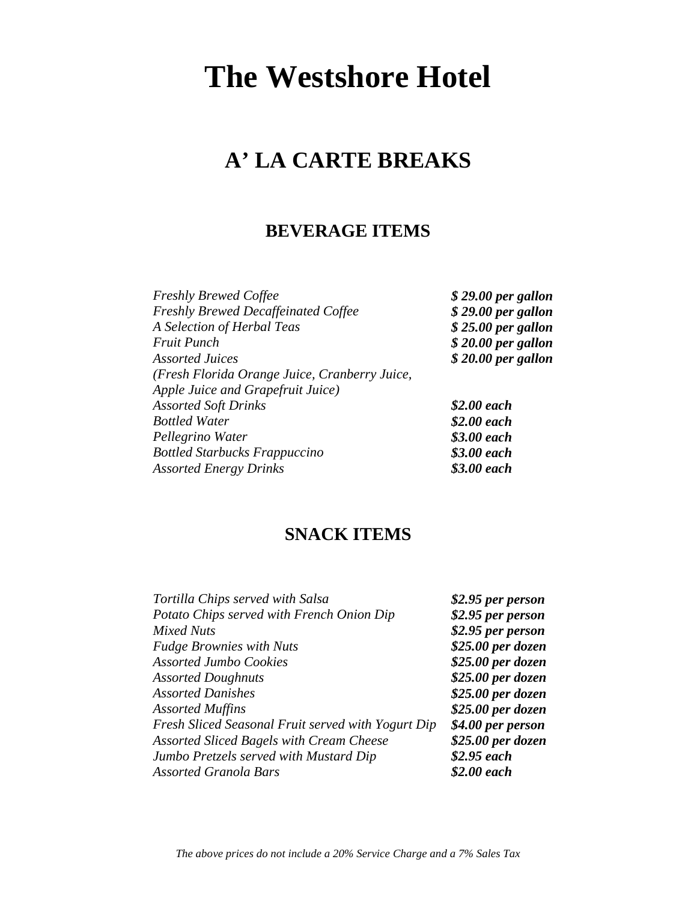# **A' LA CARTE BREAKS**

# **BEVERAGE ITEMS**

| <b>Freshly Brewed Coffee</b>                  | $$29.00$ per gallon |
|-----------------------------------------------|---------------------|
| <b>Freshly Brewed Decaffeinated Coffee</b>    | $$29.00$ per gallon |
| A Selection of Herbal Teas                    | $$25.00$ per gallon |
| <b>Fruit Punch</b>                            | $$20.00$ per gallon |
| <b>Assorted Juices</b>                        | $$20.00$ per gallon |
| (Fresh Florida Orange Juice, Cranberry Juice, |                     |
| Apple Juice and Grapefruit Juice)             |                     |
| <b>Assorted Soft Drinks</b>                   | \$2.00 each         |
| <b>Bottled Water</b>                          | \$2.00 each         |
| Pellegrino Water                              | \$3.00 each         |
| <b>Bottled Starbucks Frappuccino</b>          | \$3.00 each         |
| <b>Assorted Energy Drinks</b>                 | \$3.00 each         |
|                                               |                     |

# **SNACK ITEMS**

| Tortilla Chips served with Salsa                   | \$2.95 per person |
|----------------------------------------------------|-------------------|
| Potato Chips served with French Onion Dip          | \$2.95 per person |
| <b>Mixed Nuts</b>                                  | \$2.95 per person |
| <b>Fudge Brownies with Nuts</b>                    | \$25.00 per dozen |
| <b>Assorted Jumbo Cookies</b>                      | \$25.00 per dozen |
| <b>Assorted Doughnuts</b>                          | \$25.00 per dozen |
| <b>Assorted Danishes</b>                           | \$25.00 per dozen |
| <b>Assorted Muffins</b>                            | \$25.00 per dozen |
| Fresh Sliced Seasonal Fruit served with Yogurt Dip | \$4.00 per person |
| <b>Assorted Sliced Bagels with Cream Cheese</b>    | \$25.00 per dozen |
| Jumbo Pretzels served with Mustard Dip             | $$2.95$ each      |
| <b>Assorted Granola Bars</b>                       | \$2.00 each       |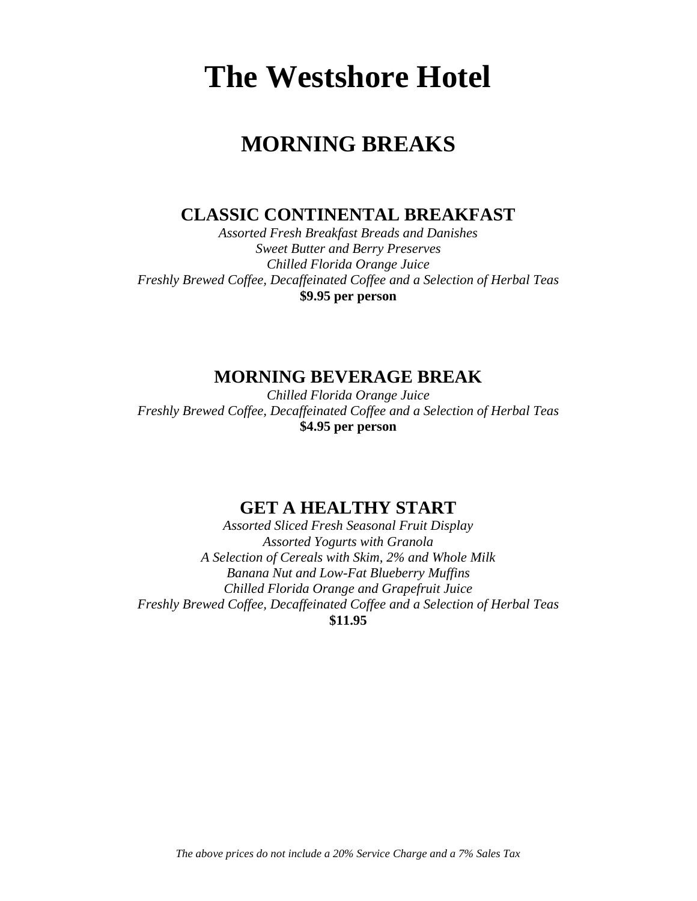# **MORNING BREAKS**

**CLASSIC CONTINENTAL BREAKFAST**

*Assorted Fresh Breakfast Breads and Danishes Sweet Butter and Berry Preserves Chilled Florida Orange Juice Freshly Brewed Coffee, Decaffeinated Coffee and a Selection of Herbal Teas* **\$9.95 per person**

**MORNING BEVERAGE BREAK**

*Chilled Florida Orange Juice Freshly Brewed Coffee, Decaffeinated Coffee and a Selection of Herbal Teas* **\$4.95 per person**

# **GET A HEALTHY START**

*Assorted Sliced Fresh Seasonal Fruit Display Assorted Yogurts with Granola A Selection of Cereals with Skim, 2% and Whole Milk Banana Nut and Low-Fat Blueberry Muffins Chilled Florida Orange and Grapefruit Juice Freshly Brewed Coffee, Decaffeinated Coffee and a Selection of Herbal Teas* **\$11.95**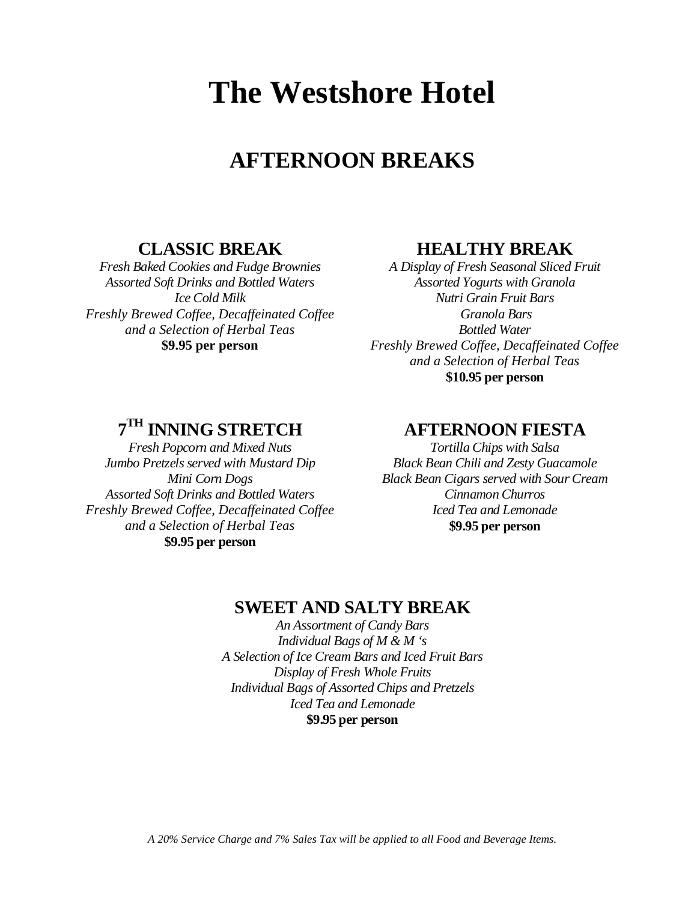# **AFTERNOON BREAKS**

# **CLASSIC BREAK**

*Fresh Baked Cookies and Fudge Brownies Assorted Soft Drinks and Bottled Waters Ice Cold Milk Freshly Brewed Coffee, Decaffeinated Coffee and a Selection of Herbal Teas* **\$9.95 per person**

## **HEALTHY BREAK**

*A Display of Fresh Seasonal Sliced Fruit Assorted Yogurts with Granola Nutri Grain Fruit Bars Granola Bars Bottled Water Freshly Brewed Coffee, Decaffeinated Coffee and a Selection of Herbal Teas* **\$10.95 per person**

# **7TH INNING STRETCH**

*Fresh Popcorn and Mixed Nuts Jumbo Pretzels served with Mustard Dip Mini Corn Dogs Assorted Soft Drinks and Bottled Waters Freshly Brewed Coffee, Decaffeinated Coffee and a Selection of Herbal Teas* **\$9.95 per person**

## **AFTERNOON FIESTA**

*Tortilla Chips with Salsa Black Bean Chili and Zesty Guacamole Black Bean Cigars served with Sour Cream Cinnamon Churros Iced Tea and Lemonade* **\$9.95 per person**

# **SWEET AND SALTY BREAK**

*An Assortment of Candy Bars Individual Bags of M & M 's A Selection of Ice Cream Bars and Iced Fruit Bars Display of Fresh Whole Fruits Individual Bags of Assorted Chips and Pretzels Iced Tea and Lemonade* **\$9.95 per person**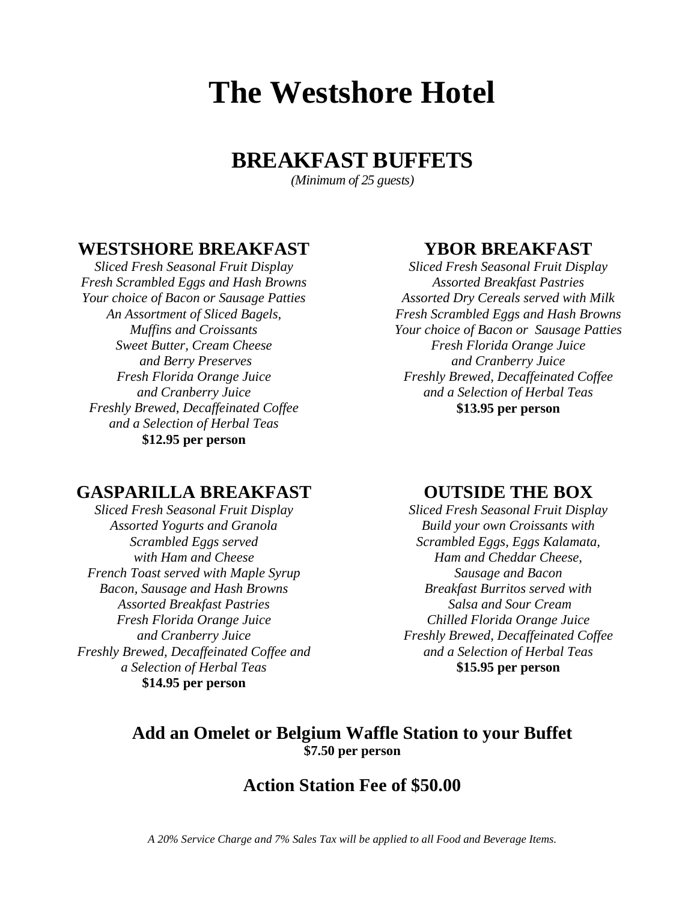# **BREAKFAST BUFFETS**

*(Minimum of 25 guests)*

## **WESTSHORE BREAKFAST**

*Sliced Fresh Seasonal Fruit Display Fresh Scrambled Eggs and Hash Browns Your choice of Bacon or Sausage Patties An Assortment of Sliced Bagels, Muffins and Croissants Sweet Butter, Cream Cheese and Berry Preserves Fresh Florida Orange Juice and Cranberry Juice Freshly Brewed, Decaffeinated Coffee and a Selection of Herbal Teas* **\$12.95 per person**

# **YBOR BREAKFAST**

*Sliced Fresh Seasonal Fruit Display Assorted Breakfast Pastries Assorted Dry Cereals served with Milk Fresh Scrambled Eggs and Hash Browns Your choice of Bacon or Sausage Patties Fresh Florida Orange Juice and Cranberry Juice Freshly Brewed, Decaffeinated Coffee and a Selection of Herbal Teas* **\$13.95 per person**

# **GASPARILLA BREAKFAST**

*Sliced Fresh Seasonal Fruit Display Assorted Yogurts and Granola Scrambled Eggs served with Ham and Cheese French Toast served with Maple Syrup Bacon, Sausage and Hash Browns Assorted Breakfast Pastries Fresh Florida Orange Juice and Cranberry Juice Freshly Brewed, Decaffeinated Coffee and a Selection of Herbal Teas* **\$14.95 per person**

# **OUTSIDE THE BOX**

*Sliced Fresh Seasonal Fruit Display Build your own Croissants with Scrambled Eggs, Eggs Kalamata, Ham and Cheddar Cheese, Sausage and Bacon Breakfast Burritos served with Salsa and Sour Cream Chilled Florida Orange Juice Freshly Brewed, Decaffeinated Coffee and a Selection of Herbal Teas* **\$15.95 per person**

# **Add an Omelet or Belgium Waffle Station to your Buffet \$7.50 per person**

# **Action Station Fee of \$50.00**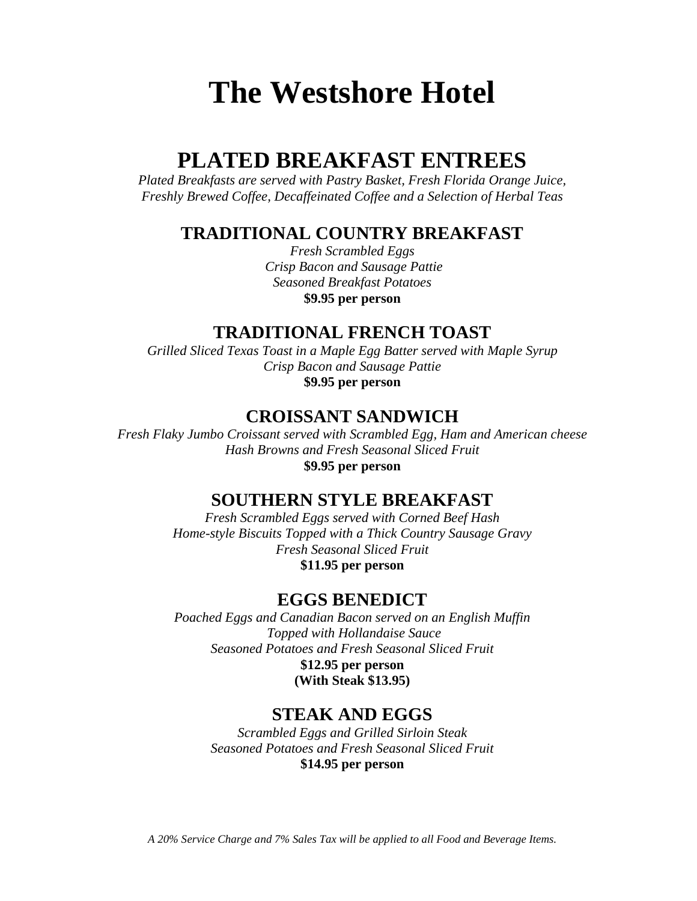# **PLATED BREAKFAST ENTREES**

*Plated Breakfasts are served with Pastry Basket, Fresh Florida Orange Juice, Freshly Brewed Coffee, Decaffeinated Coffee and a Selection of Herbal Teas*

# **TRADITIONAL COUNTRY BREAKFAST**

*Fresh Scrambled Eggs Crisp Bacon and Sausage Pattie Seasoned Breakfast Potatoes* **\$9.95 per person**

# **TRADITIONAL FRENCH TOAST**

*Grilled Sliced Texas Toast in a Maple Egg Batter served with Maple Syrup Crisp Bacon and Sausage Pattie* **\$9.95 per person**

## **CROISSANT SANDWICH**

*Fresh Flaky Jumbo Croissant served with Scrambled Egg, Ham and American cheese Hash Browns and Fresh Seasonal Sliced Fruit* **\$9.95 per person**

# **SOUTHERN STYLE BREAKFAST**

*Fresh Scrambled Eggs served with Corned Beef Hash Home-style Biscuits Topped with a Thick Country Sausage Gravy Fresh Seasonal Sliced Fruit*  **\$11.95 per person**

# **EGGS BENEDICT**

*Poached Eggs and Canadian Bacon served on an English Muffin Topped with Hollandaise Sauce Seasoned Potatoes and Fresh Seasonal Sliced Fruit* **\$12.95 per person**

**(With Steak \$13.95)**

# **STEAK AND EGGS**

*Scrambled Eggs and Grilled Sirloin Steak Seasoned Potatoes and Fresh Seasonal Sliced Fruit* **\$14.95 per person**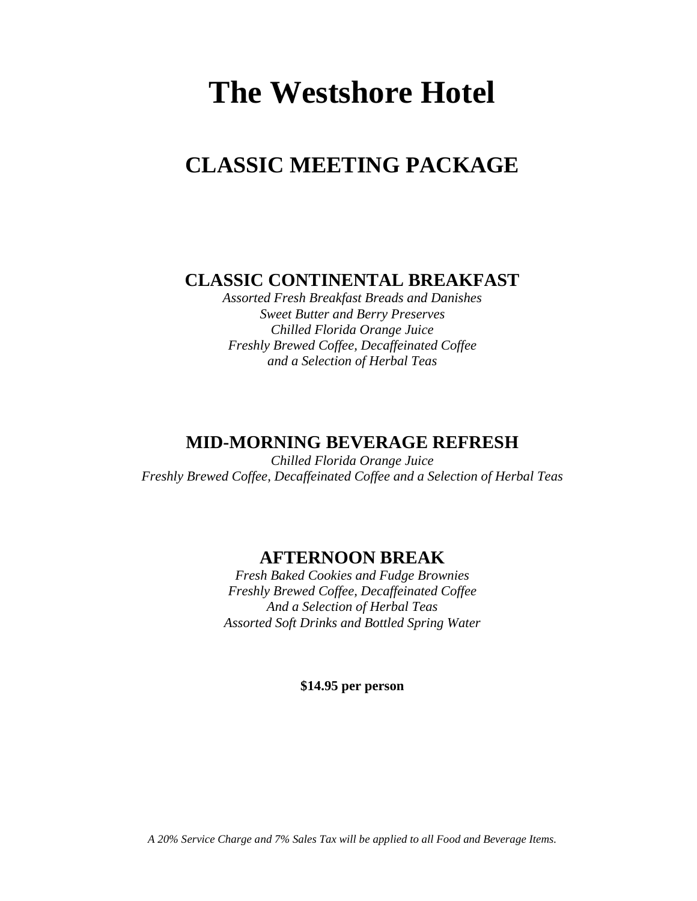# **CLASSIC MEETING PACKAGE**

**CLASSIC CONTINENTAL BREAKFAST**

*Assorted Fresh Breakfast Breads and Danishes Sweet Butter and Berry Preserves Chilled Florida Orange Juice Freshly Brewed Coffee, Decaffeinated Coffee and a Selection of Herbal Teas*

# **MID-MORNING BEVERAGE REFRESH**

*Chilled Florida Orange Juice Freshly Brewed Coffee, Decaffeinated Coffee and a Selection of Herbal Teas*

# **AFTERNOON BREAK**

*Fresh Baked Cookies and Fudge Brownies Freshly Brewed Coffee, Decaffeinated Coffee And a Selection of Herbal Teas Assorted Soft Drinks and Bottled Spring Water*

**\$14.95 per person**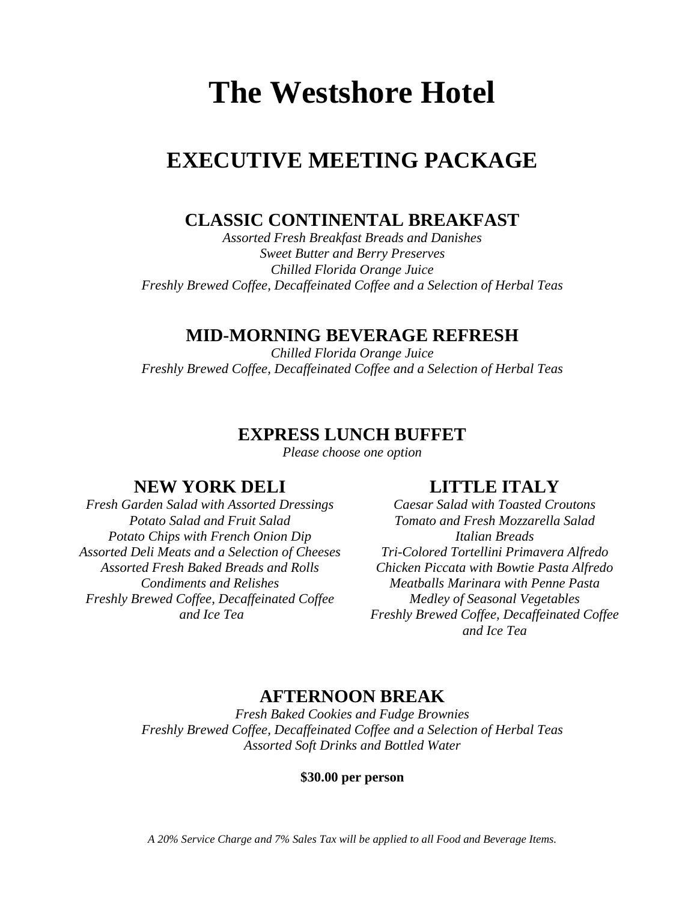# **EXECUTIVE MEETING PACKAGE**

# **CLASSIC CONTINENTAL BREAKFAST**

*Assorted Fresh Breakfast Breads and Danishes Sweet Butter and Berry Preserves Chilled Florida Orange Juice Freshly Brewed Coffee, Decaffeinated Coffee and a Selection of Herbal Teas*

# **MID-MORNING BEVERAGE REFRESH**

*Chilled Florida Orange Juice Freshly Brewed Coffee, Decaffeinated Coffee and a Selection of Herbal Teas*

# **EXPRESS LUNCH BUFFET**

*Please choose one option*

# **NEW YORK DELI**

*Fresh Garden Salad with Assorted Dressings Potato Salad and Fruit Salad Potato Chips with French Onion Dip Assorted Deli Meats and a Selection of Cheeses Assorted Fresh Baked Breads and Rolls Condiments and Relishes Freshly Brewed Coffee, Decaffeinated Coffee and Ice Tea*

# **LITTLE ITALY**

*Caesar Salad with Toasted Croutons Tomato and Fresh Mozzarella Salad Italian Breads Tri-Colored Tortellini Primavera Alfredo Chicken Piccata with Bowtie Pasta Alfredo Meatballs Marinara with Penne Pasta Medley of Seasonal Vegetables Freshly Brewed Coffee, Decaffeinated Coffee and Ice Tea*

# **AFTERNOON BREAK**

*Fresh Baked Cookies and Fudge Brownies Freshly Brewed Coffee, Decaffeinated Coffee and a Selection of Herbal Teas Assorted Soft Drinks and Bottled Water*

### **\$30.00 per person**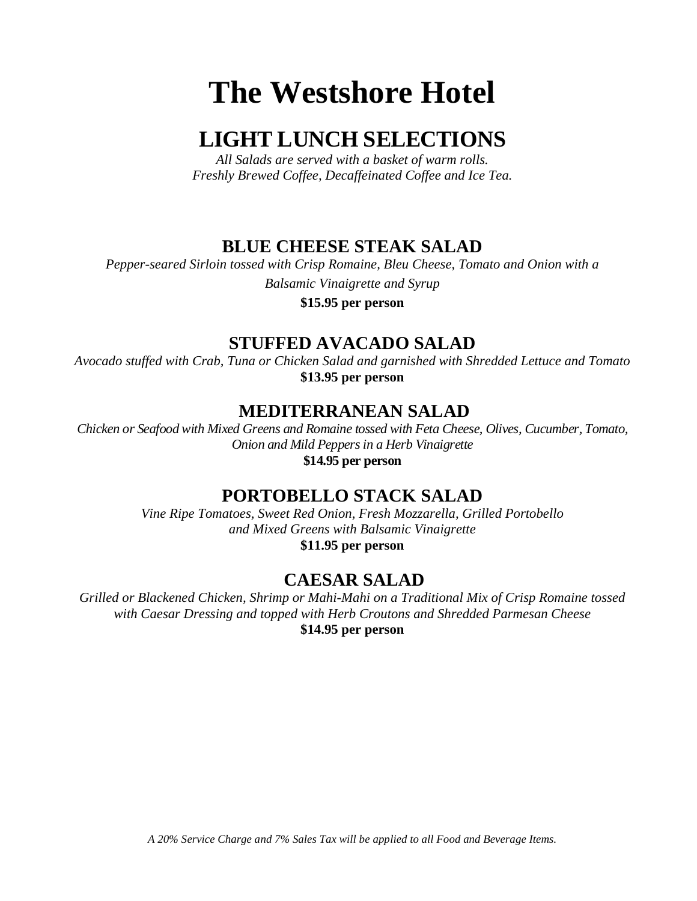# **LIGHT LUNCH SELECTIONS**

*All Salads are served with a basket of warm rolls. Freshly Brewed Coffee, Decaffeinated Coffee and Ice Tea.*

# **BLUE CHEESE STEAK SALAD**

*Pepper-seared Sirloin tossed with Crisp Romaine, Bleu Cheese, Tomato and Onion with a Balsamic Vinaigrette and Syrup*

**\$15.95 per person**

# **STUFFED AVACADO SALAD**

*Avocado stuffed with Crab, Tuna or Chicken Salad and garnished with Shredded Lettuce and Tomato* **\$13.95 per person**

# **MEDITERRANEAN SALAD**

*Chicken or Seafood with Mixed Greens and Romaine tossed with Feta Cheese, Olives, Cucumber, Tomato, Onion and Mild Peppers in a Herb Vinaigrette* **\$14.95 per person**

# **PORTOBELLO STACK SALAD**

*Vine Ripe Tomatoes, Sweet Red Onion, Fresh Mozzarella, Grilled Portobello and Mixed Greens with Balsamic Vinaigrette* **\$11.95 per person**

# **CAESAR SALAD**

*Grilled or Blackened Chicken, Shrimp or Mahi-Mahi on a Traditional Mix of Crisp Romaine tossed with Caesar Dressing and topped with Herb Croutons and Shredded Parmesan Cheese* **\$14.95 per person**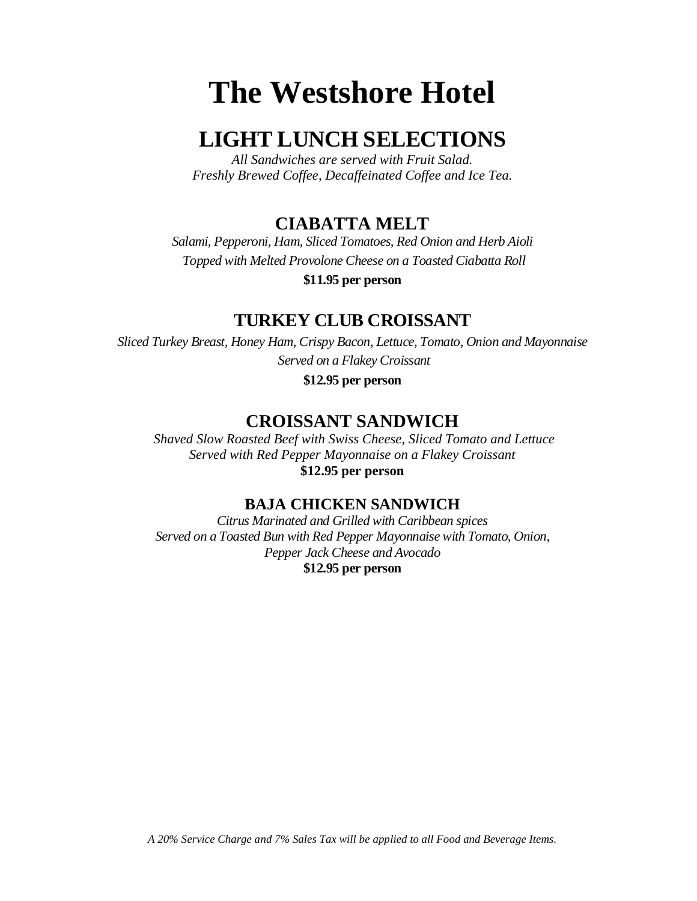# **LIGHT LUNCH SELECTIONS**

*All Sandwiches are served with Fruit Salad. Freshly Brewed Coffee, Decaffeinated Coffee and Ice Tea.*

# **CIABATTA MELT**

*Salami, Pepperoni, Ham, Sliced Tomatoes, Red Onion and Herb Aioli Topped with Melted Provolone Cheese on a Toasted Ciabatta Roll*

**\$11.95 per person**

# **TURKEY CLUB CROISSANT**

*Sliced Turkey Breast, Honey Ham, Crispy Bacon, Lettuce, Tomato, Onion and Mayonnaise Served on a Flakey Croissant*

**\$12.95 per person**

# **CROISSANT SANDWICH**

*Shaved Slow Roasted Beef with Swiss Cheese, Sliced Tomato and Lettuce Served with Red Pepper Mayonnaise on a Flakey Croissant* **\$12.95 per person**

## **BAJA CHICKEN SANDWICH**

*Citrus Marinated and Grilled with Caribbean spices Served on a Toasted Bun with Red Pepper Mayonnaise with Tomato, Onion, Pepper Jack Cheese and Avocado* **\$12.95 per person**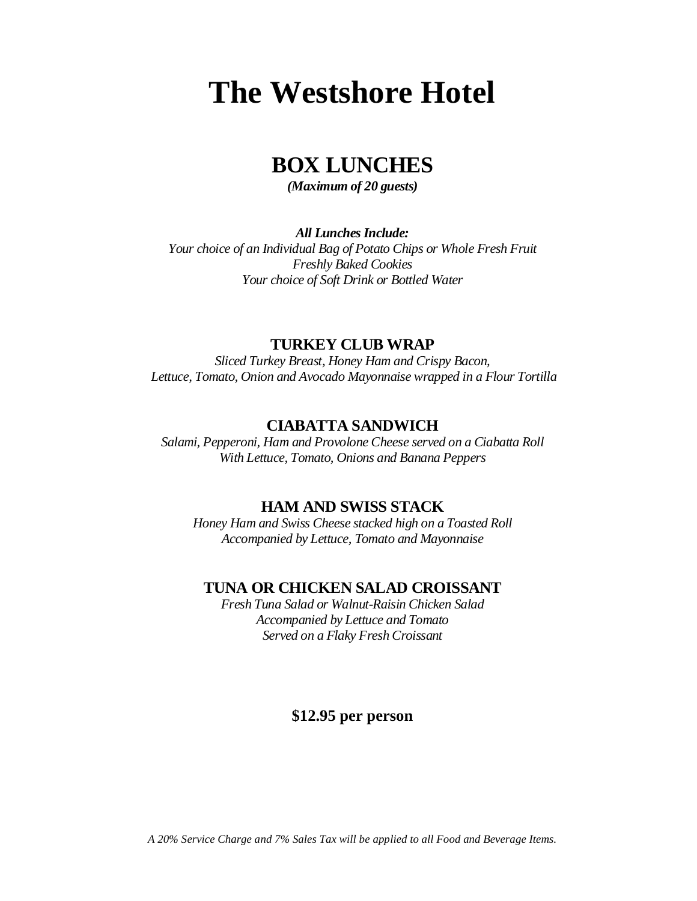# **BOX LUNCHES**

*(Maximum of 20 guests)*

*All Lunches Include:*

*Your choice of an Individual Bag of Potato Chips or Whole Fresh Fruit Freshly Baked Cookies Your choice of Soft Drink or Bottled Water*

### **TURKEY CLUB WRAP**

*Sliced Turkey Breast, Honey Ham and Crispy Bacon, Lettuce, Tomato, Onion and Avocado Mayonnaise wrapped in a Flour Tortilla*

### **CIABATTA SANDWICH**

*Salami, Pepperoni, Ham and Provolone Cheese served on a Ciabatta Roll With Lettuce, Tomato, Onions and Banana Peppers* 

### **HAM AND SWISS STACK**

*Honey Ham and Swiss Cheese stacked high on a Toasted Roll Accompanied by Lettuce, Tomato and Mayonnaise*

### **TUNA OR CHICKEN SALAD CROISSANT**

*Fresh Tuna Salad or Walnut-Raisin Chicken Salad Accompanied by Lettuce and Tomato Served on a Flaky Fresh Croissant*

## **\$12.95 per person**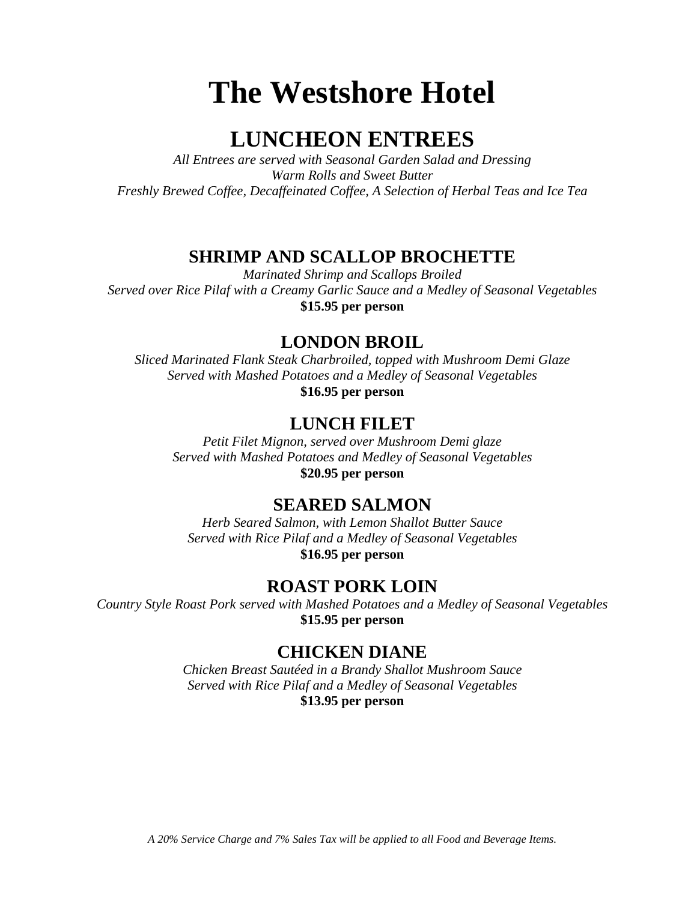# **LUNCHEON ENTREES**

*All Entrees are served with Seasonal Garden Salad and Dressing Warm Rolls and Sweet Butter Freshly Brewed Coffee, Decaffeinated Coffee, A Selection of Herbal Teas and Ice Tea*

# **SHRIMP AND SCALLOP BROCHETTE**

*Marinated Shrimp and Scallops Broiled Served over Rice Pilaf with a Creamy Garlic Sauce and a Medley of Seasonal Vegetables* **\$15.95 per person**

# **LONDON BROIL**

*Sliced Marinated Flank Steak Charbroiled, topped with Mushroom Demi Glaze Served with Mashed Potatoes and a Medley of Seasonal Vegetables*

**\$16.95 per person**

# **LUNCH FILET**

*Petit Filet Mignon, served over Mushroom Demi glaze Served with Mashed Potatoes and Medley of Seasonal Vegetables* **\$20.95 per person**

# **SEARED SALMON**

*Herb Seared Salmon, with Lemon Shallot Butter Sauce Served with Rice Pilaf and a Medley of Seasonal Vegetables* **\$16.95 per person**

# **ROAST PORK LOIN**

*Country Style Roast Pork served with Mashed Potatoes and a Medley of Seasonal Vegetables* **\$15.95 per person**

# **CHICKEN DIANE**

*Chicken Breast Sautéed in a Brandy Shallot Mushroom Sauce Served with Rice Pilaf and a Medley of Seasonal Vegetables* **\$13.95 per person**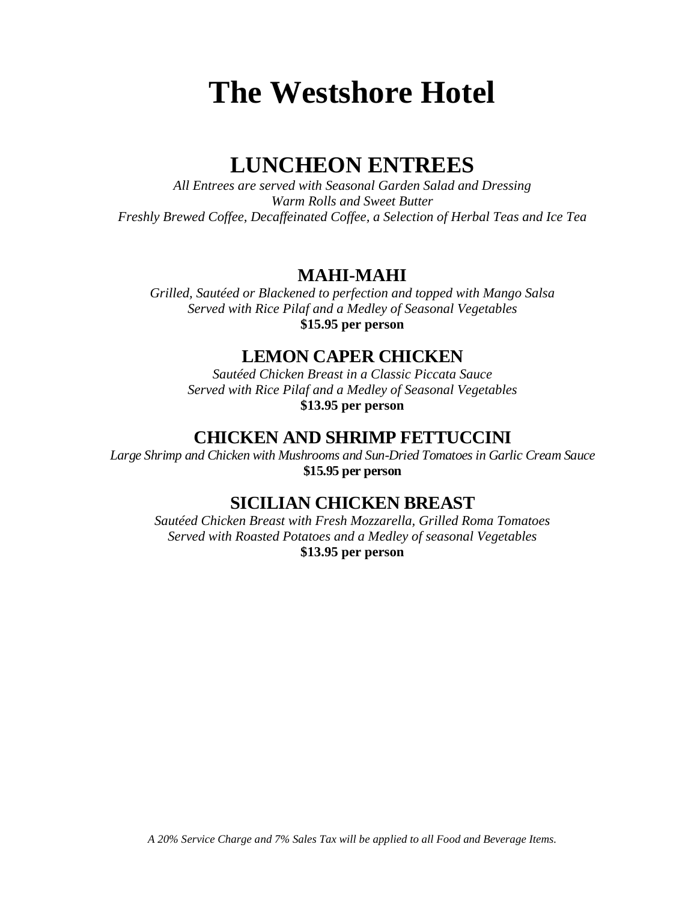# **LUNCHEON ENTREES**

*All Entrees are served with Seasonal Garden Salad and Dressing Warm Rolls and Sweet Butter Freshly Brewed Coffee, Decaffeinated Coffee, a Selection of Herbal Teas and Ice Tea*

# **MAHI-MAHI**

*Grilled, Sautéed or Blackened to perfection and topped with Mango Salsa Served with Rice Pilaf and a Medley of Seasonal Vegetables* **\$15.95 per person**

## **LEMON CAPER CHICKEN**

*Sautéed Chicken Breast in a Classic Piccata Sauce Served with Rice Pilaf and a Medley of Seasonal Vegetables* **\$13.95 per person**

## **CHICKEN AND SHRIMP FETTUCCINI**

*Large Shrimp and Chicken with Mushrooms and Sun-Dried Tomatoes in Garlic Cream Sauce* **\$15.95 per person**

# **SICILIAN CHICKEN BREAST**

*Sautéed Chicken Breast with Fresh Mozzarella, Grilled Roma Tomatoes Served with Roasted Potatoes and a Medley of seasonal Vegetables* **\$13.95 per person**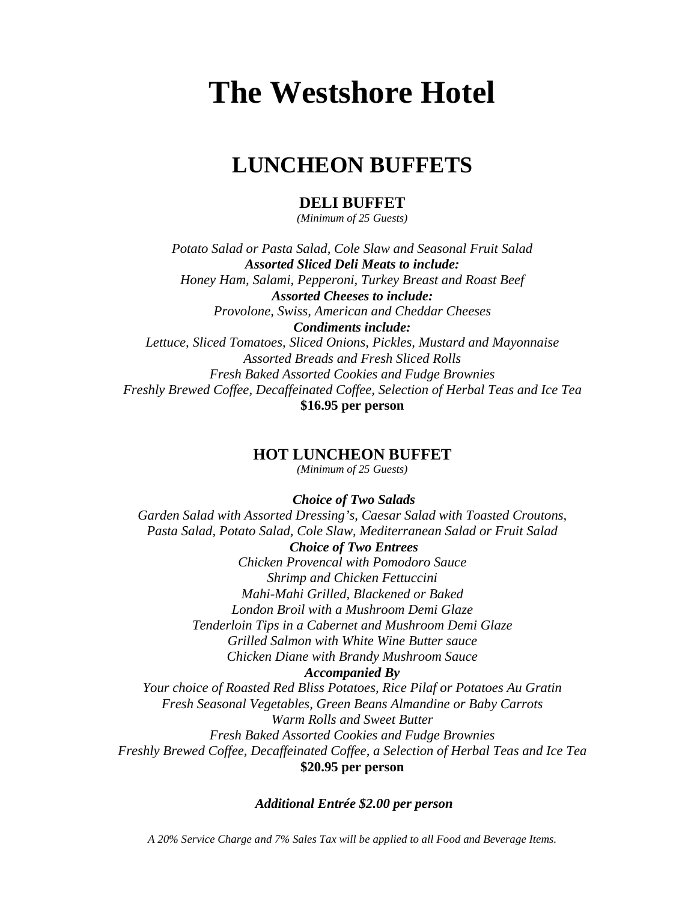# **LUNCHEON BUFFETS**

### **DELI BUFFET**

*(Minimum of 25 Guests)*

*Potato Salad or Pasta Salad, Cole Slaw and Seasonal Fruit Salad Assorted Sliced Deli Meats to include: Honey Ham, Salami, Pepperoni, Turkey Breast and Roast Beef Assorted Cheeses to include: Provolone, Swiss, American and Cheddar Cheeses Condiments include:*

*Lettuce, Sliced Tomatoes, Sliced Onions, Pickles, Mustard and Mayonnaise Assorted Breads and Fresh Sliced Rolls Fresh Baked Assorted Cookies and Fudge Brownies Freshly Brewed Coffee, Decaffeinated Coffee, Selection of Herbal Teas and Ice Tea* **\$16.95 per person**

### **HOT LUNCHEON BUFFET**

*(Minimum of 25 Guests)*

 *Choice of Two Salads*

*Garden Salad with Assorted Dressing's, Caesar Salad with Toasted Croutons, Pasta Salad, Potato Salad, Cole Slaw, Mediterranean Salad or Fruit Salad Choice of Two Entrees Chicken Provencal with Pomodoro Sauce Shrimp and Chicken Fettuccini Mahi-Mahi Grilled, Blackened or Baked London Broil with a Mushroom Demi Glaze Tenderloin Tips in a Cabernet and Mushroom Demi Glaze Grilled Salmon with White Wine Butter sauce Chicken Diane with Brandy Mushroom Sauce Accompanied By Your choice of Roasted Red Bliss Potatoes, Rice Pilaf or Potatoes Au Gratin Fresh Seasonal Vegetables, Green Beans Almandine or Baby Carrots Warm Rolls and Sweet Butter Fresh Baked Assorted Cookies and Fudge Brownies Freshly Brewed Coffee, Decaffeinated Coffee, a Selection of Herbal Teas and Ice Tea* **\$20.95 per person**

### *Additional Entrée \$2.00 per person*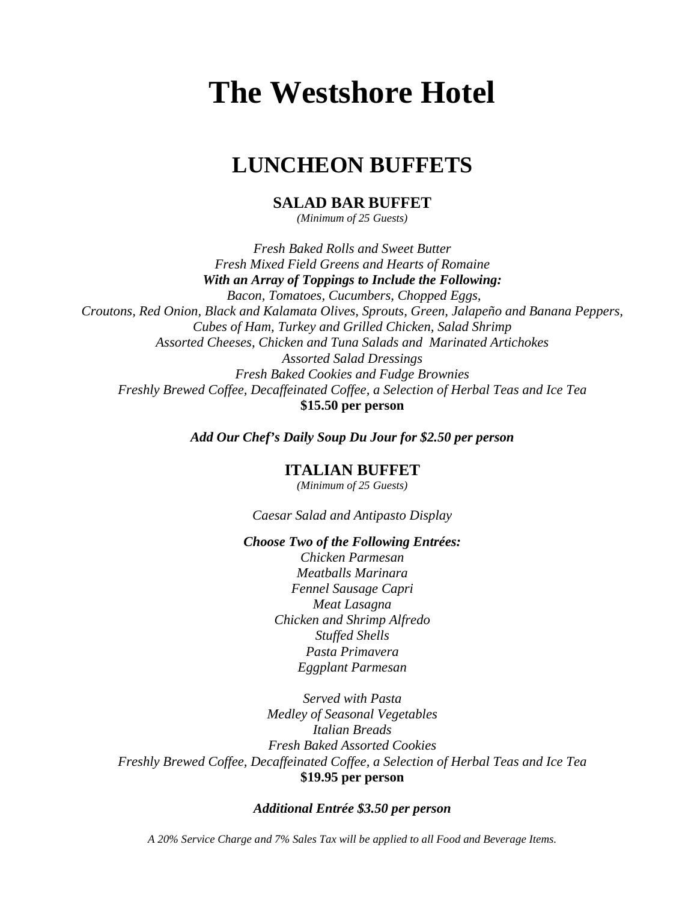# **LUNCHEON BUFFETS**

### **SALAD BAR BUFFET**

*(Minimum of 25 Guests)*

*Fresh Baked Rolls and Sweet Butter Fresh Mixed Field Greens and Hearts of Romaine With an Array of Toppings to Include the Following: Bacon, Tomatoes, Cucumbers, Chopped Eggs, Croutons, Red Onion, Black and Kalamata Olives, Sprouts, Green, Jalapeño and Banana Peppers, Cubes of Ham, Turkey and Grilled Chicken, Salad Shrimp Assorted Cheeses, Chicken and Tuna Salads and Marinated Artichokes Assorted Salad Dressings Fresh Baked Cookies and Fudge Brownies Freshly Brewed Coffee, Decaffeinated Coffee, a Selection of Herbal Teas and Ice Tea* **\$15.50 per person**

*Add Our Chef's Daily Soup Du Jour for \$2.50 per person*

### **ITALIAN BUFFET**

*(Minimum of 25 Guests)*

*Caesar Salad and Antipasto Display*

### *Choose Two of the Following Entrées:*

*Chicken Parmesan Meatballs Marinara Fennel Sausage Capri Meat Lasagna Chicken and Shrimp Alfredo Stuffed Shells Pasta Primavera Eggplant Parmesan*

*Served with Pasta Medley of Seasonal Vegetables Italian Breads Fresh Baked Assorted Cookies Freshly Brewed Coffee, Decaffeinated Coffee, a Selection of Herbal Teas and Ice Tea* **\$19.95 per person**

### *Additional Entrée \$3.50 per person*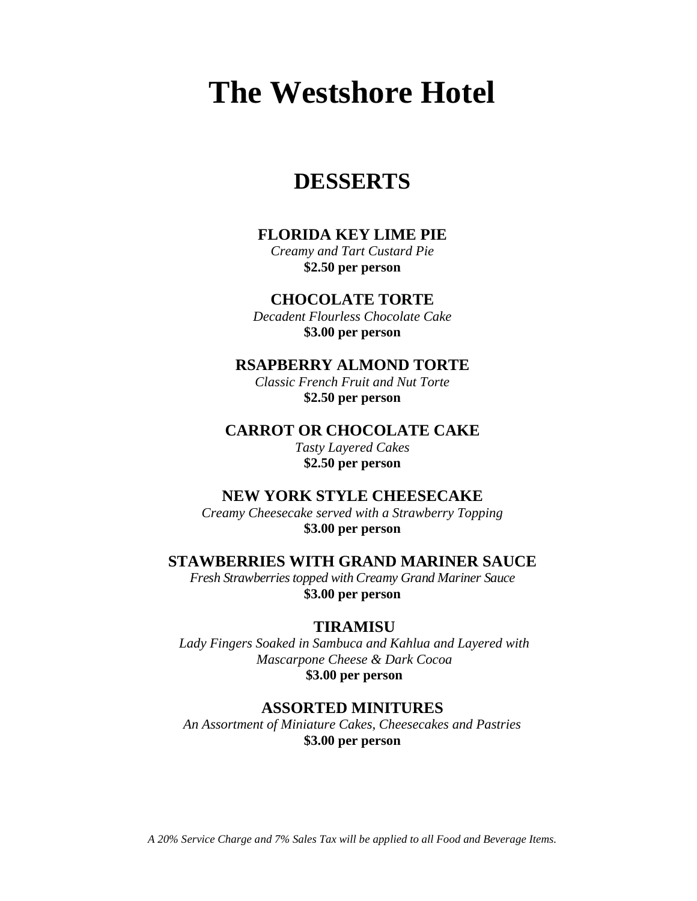# **DESSERTS**

### **FLORIDA KEY LIME PIE**

*Creamy and Tart Custard Pie* **\$2.50 per person**

**CHOCOLATE TORTE**

*Decadent Flourless Chocolate Cake* **\$3.00 per person**

**RSAPBERRY ALMOND TORTE**

*Classic French Fruit and Nut Torte* **\$2.50 per person**

**CARROT OR CHOCOLATE CAKE**

*Tasty Layered Cakes*  **\$2.50 per person**

### **NEW YORK STYLE CHEESECAKE**

*Creamy Cheesecake served with a Strawberry Topping* **\$3.00 per person**

### **STAWBERRIES WITH GRAND MARINER SAUCE**

*Fresh Strawberries topped with Creamy Grand Mariner Sauce* **\$3.00 per person**

### **TIRAMISU**

*Lady Fingers Soaked in Sambuca and Kahlua and Layered with Mascarpone Cheese & Dark Cocoa*  **\$3.00 per person**

### **ASSORTED MINITURES**

*An Assortment of Miniature Cakes, Cheesecakes and Pastries* **\$3.00 per person**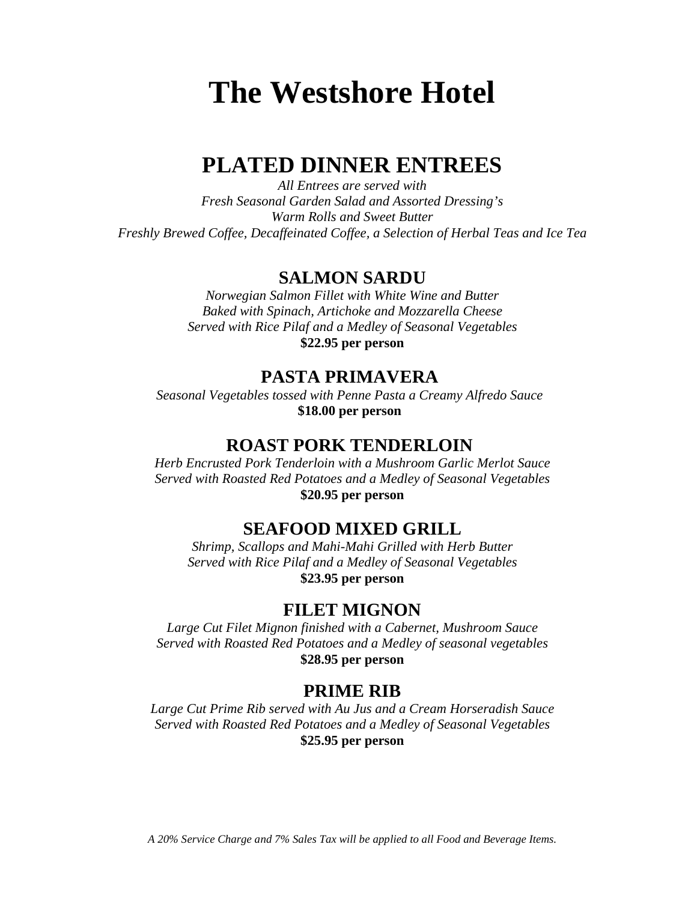# **PLATED DINNER ENTREES**

*All Entrees are served with Fresh Seasonal Garden Salad and Assorted Dressing's Warm Rolls and Sweet Butter Freshly Brewed Coffee, Decaffeinated Coffee, a Selection of Herbal Teas and Ice Tea*

# **SALMON SARDU**

*Norwegian Salmon Fillet with White Wine and Butter Baked with Spinach, Artichoke and Mozzarella Cheese Served with Rice Pilaf and a Medley of Seasonal Vegetables* **\$22.95 per person**

## **PASTA PRIMAVERA**

*Seasonal Vegetables tossed with Penne Pasta a Creamy Alfredo Sauce* **\$18.00 per person**

# **ROAST PORK TENDERLOIN**

*Herb Encrusted Pork Tenderloin with a Mushroom Garlic Merlot Sauce Served with Roasted Red Potatoes and a Medley of Seasonal Vegetables* **\$20.95 per person**

# **SEAFOOD MIXED GRILL**

*Shrimp, Scallops and Mahi-Mahi Grilled with Herb Butter Served with Rice Pilaf and a Medley of Seasonal Vegetables* **\$23.95 per person**

## **FILET MIGNON**

*Large Cut Filet Mignon finished with a Cabernet, Mushroom Sauce Served with Roasted Red Potatoes and a Medley of seasonal vegetables* **\$28.95 per person**

## **PRIME RIB**

*Large Cut Prime Rib served with Au Jus and a Cream Horseradish Sauce Served with Roasted Red Potatoes and a Medley of Seasonal Vegetables* **\$25.95 per person**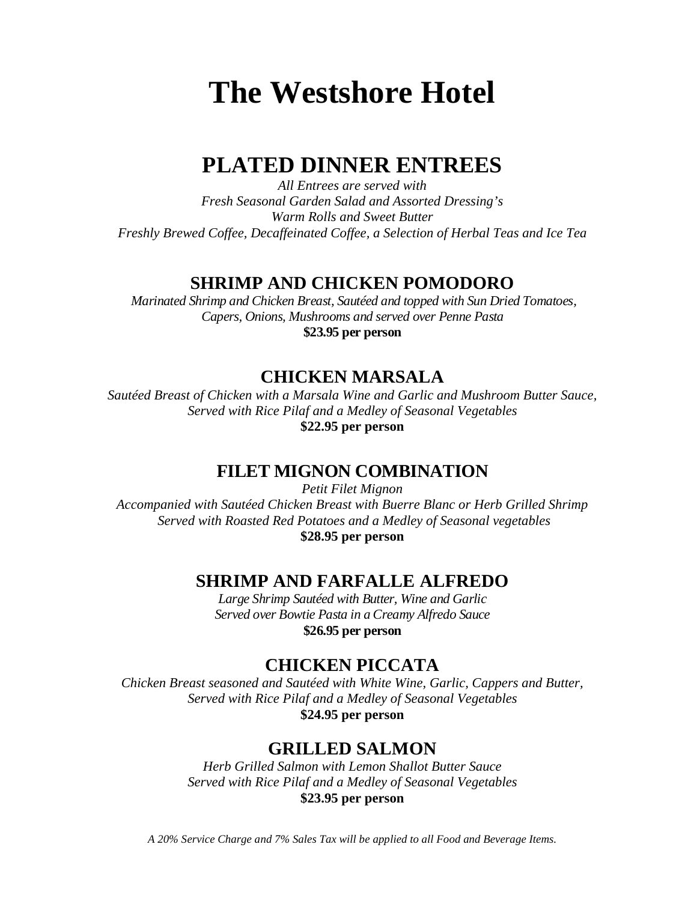# **PLATED DINNER ENTREES**

*All Entrees are served with Fresh Seasonal Garden Salad and Assorted Dressing's Warm Rolls and Sweet Butter Freshly Brewed Coffee, Decaffeinated Coffee, a Selection of Herbal Teas and Ice Tea*

# **SHRIMP AND CHICKEN POMODORO**

*Marinated Shrimp and Chicken Breast, Sautéed and topped with Sun Dried Tomatoes, Capers, Onions, Mushrooms and served over Penne Pasta* **\$23.95 per person**

# **CHICKEN MARSALA**

*Sautéed Breast of Chicken with a Marsala Wine and Garlic and Mushroom Butter Sauce, Served with Rice Pilaf and a Medley of Seasonal Vegetables* **\$22.95 per person**

# **FILET MIGNON COMBINATION**

*Petit Filet Mignon Accompanied with Sautéed Chicken Breast with Buerre Blanc or Herb Grilled Shrimp Served with Roasted Red Potatoes and a Medley of Seasonal vegetables* **\$28.95 per person**

# **SHRIMP AND FARFALLE ALFREDO**

*Large Shrimp Sautéed with Butter, Wine and Garlic Served over Bowtie Pasta in a Creamy Alfredo Sauce* **\$26.95 per person**

# **CHICKEN PICCATA**

*Chicken Breast seasoned and Sautéed with White Wine, Garlic, Cappers and Butter, Served with Rice Pilaf and a Medley of Seasonal Vegetables* **\$24.95 per person**

# **GRILLED SALMON**

*Herb Grilled Salmon with Lemon Shallot Butter Sauce Served with Rice Pilaf and a Medley of Seasonal Vegetables* **\$23.95 per person**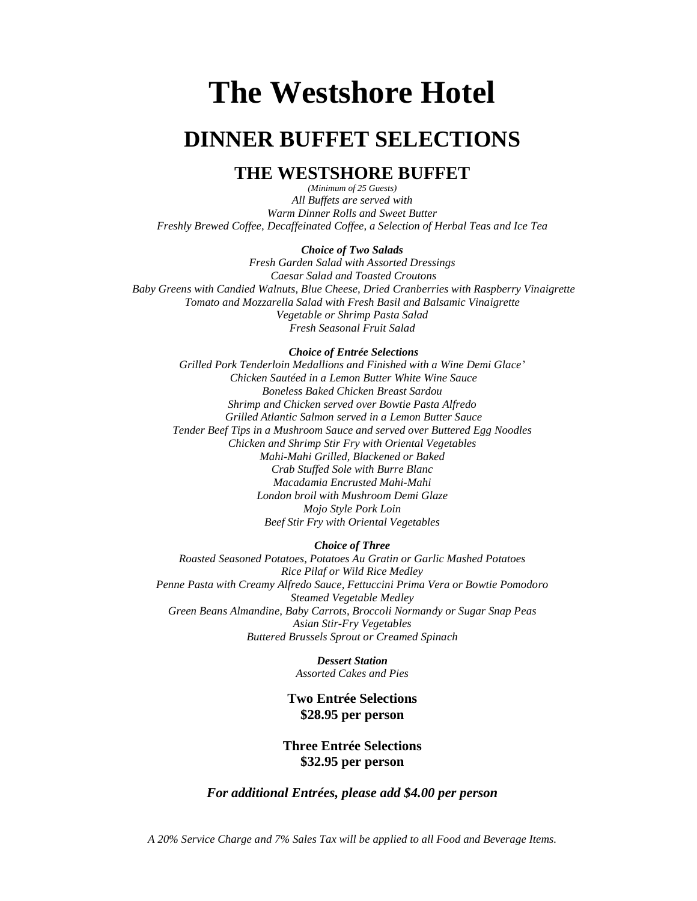# **DINNER BUFFET SELECTIONS**

## **THE WESTSHORE BUFFET**

*(Minimum of 25 Guests) All Buffets are served with Warm Dinner Rolls and Sweet Butter Freshly Brewed Coffee, Decaffeinated Coffee, a Selection of Herbal Teas and Ice Tea*

### *Choice of Two Salads*

*Fresh Garden Salad with Assorted Dressings Caesar Salad and Toasted Croutons Baby Greens with Candied Walnuts, Blue Cheese, Dried Cranberries with Raspberry Vinaigrette Tomato and Mozzarella Salad with Fresh Basil and Balsamic Vinaigrette Vegetable or Shrimp Pasta Salad Fresh Seasonal Fruit Salad*

### *Choice of Entrée Selections*

*Grilled Pork Tenderloin Medallions and Finished with a Wine Demi Glace' Chicken Sautéed in a Lemon Butter White Wine Sauce Boneless Baked Chicken Breast Sardou Shrimp and Chicken served over Bowtie Pasta Alfredo Grilled Atlantic Salmon served in a Lemon Butter Sauce Tender Beef Tips in a Mushroom Sauce and served over Buttered Egg Noodles Chicken and Shrimp Stir Fry with Oriental Vegetables Mahi-Mahi Grilled, Blackened or Baked Crab Stuffed Sole with Burre Blanc Macadamia Encrusted Mahi-Mahi London broil with Mushroom Demi Glaze Mojo Style Pork Loin Beef Stir Fry with Oriental Vegetables*

### *Choice of Three*

*Roasted Seasoned Potatoes, Potatoes Au Gratin or Garlic Mashed Potatoes Rice Pilaf or Wild Rice Medley Penne Pasta with Creamy Alfredo Sauce, Fettuccini Prima Vera or Bowtie Pomodoro Steamed Vegetable Medley Green Beans Almandine, Baby Carrots, Broccoli Normandy or Sugar Snap Peas Asian Stir-Fry Vegetables Buttered Brussels Sprout or Creamed Spinach*

> *Dessert Station Assorted Cakes and Pies*

### **Two Entrée Selections \$28.95 per person**

### **Three Entrée Selections \$32.95 per person**

### *For additional Entrées, please add \$4.00 per person*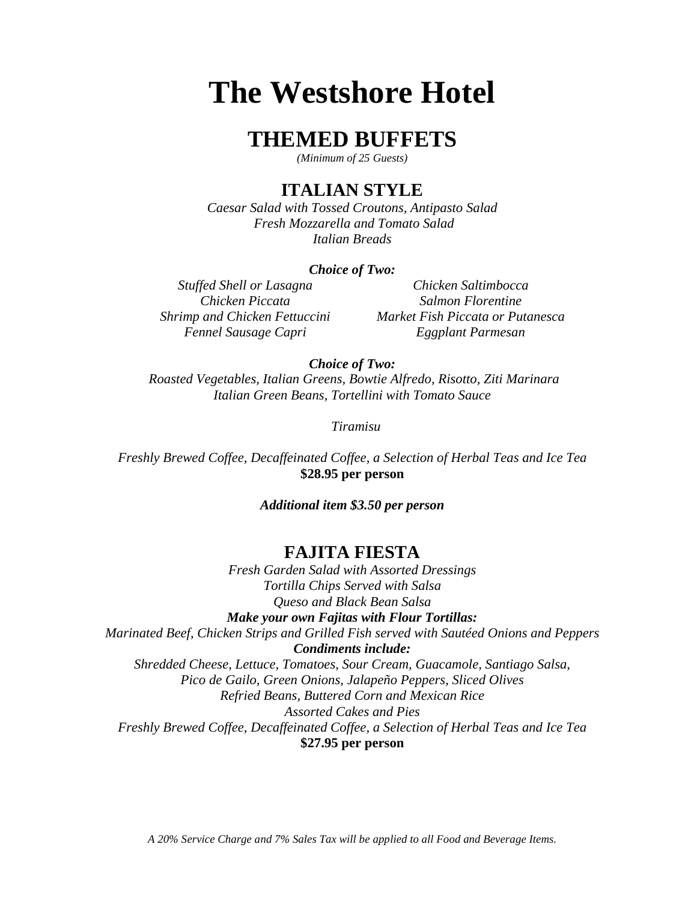# **THEMED BUFFETS**

*(Minimum of 25 Guests)*

# **ITALIAN STYLE**

*Caesar Salad with Tossed Croutons, Antipasto Salad Fresh Mozzarella and Tomato Salad Italian Breads*

### *Choice of Two:*

*Fennel Sausage Capri Eggplant Parmesan*

*Stuffed Shell or Lasagna Chicken Saltimbocca Chicken Piccata Salmon Florentine Shrimp and Chicken Fettuccini Market Fish Piccata or Putanesca*

*Choice of Two:*

 *Roasted Vegetables, Italian Greens, Bowtie Alfredo, Risotto, Ziti Marinara Italian Green Beans, Tortellini with Tomato Sauce*

 *Tiramisu*

*Freshly Brewed Coffee, Decaffeinated Coffee, a Selection of Herbal Teas and Ice Tea* **\$28.95 per person**

*Additional item \$3.50 per person*

## **FAJITA FIESTA**

*Fresh Garden Salad with Assorted Dressings Tortilla Chips Served with Salsa Queso and Black Bean Salsa Make your own Fajitas with Flour Tortillas: Marinated Beef, Chicken Strips and Grilled Fish served with Sautéed Onions and Peppers Condiments include: Shredded Cheese, Lettuce, Tomatoes, Sour Cream, Guacamole, Santiago Salsa, Pico de Gailo, Green Onions, Jalapeño Peppers, Sliced Olives Refried Beans, Buttered Corn and Mexican Rice Assorted Cakes and Pies Freshly Brewed Coffee, Decaffeinated Coffee, a Selection of Herbal Teas and Ice Tea* **\$27.95 per person**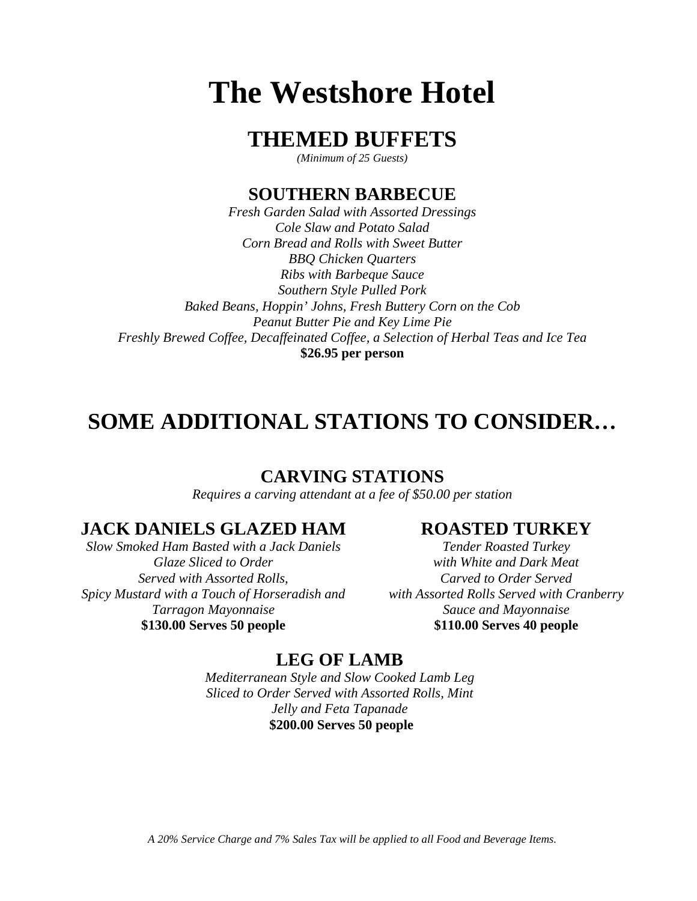# **THEMED BUFFETS**

*(Minimum of 25 Guests)*

# **SOUTHERN BARBECUE**

*Fresh Garden Salad with Assorted Dressings Cole Slaw and Potato Salad Corn Bread and Rolls with Sweet Butter BBQ Chicken Quarters Ribs with Barbeque Sauce Southern Style Pulled Pork Baked Beans, Hoppin' Johns, Fresh Buttery Corn on the Cob Peanut Butter Pie and Key Lime Pie Freshly Brewed Coffee, Decaffeinated Coffee, a Selection of Herbal Teas and Ice Tea* **\$26.95 per person**

# **SOME ADDITIONAL STATIONS TO CONSIDER…**

# **CARVING STATIONS**

*Requires a carving attendant at a fee of \$50.00 per station* 

# **JACK DANIELS GLAZED HAM**

*Slow Smoked Ham Basted with a Jack Daniels Glaze Sliced to Order Served with Assorted Rolls, Spicy Mustard with a Touch of Horseradish and Tarragon Mayonnaise* **\$130.00 Serves 50 people**

## **ROASTED TURKEY**

*Tender Roasted Turkey with White and Dark Meat Carved to Order Served with Assorted Rolls Served with Cranberry Sauce and Mayonnaise* **\$110.00 Serves 40 people**

# **LEG OF LAMB**

*Mediterranean Style and Slow Cooked Lamb Leg Sliced to Order Served with Assorted Rolls, Mint Jelly and Feta Tapanade* **\$200.00 Serves 50 people**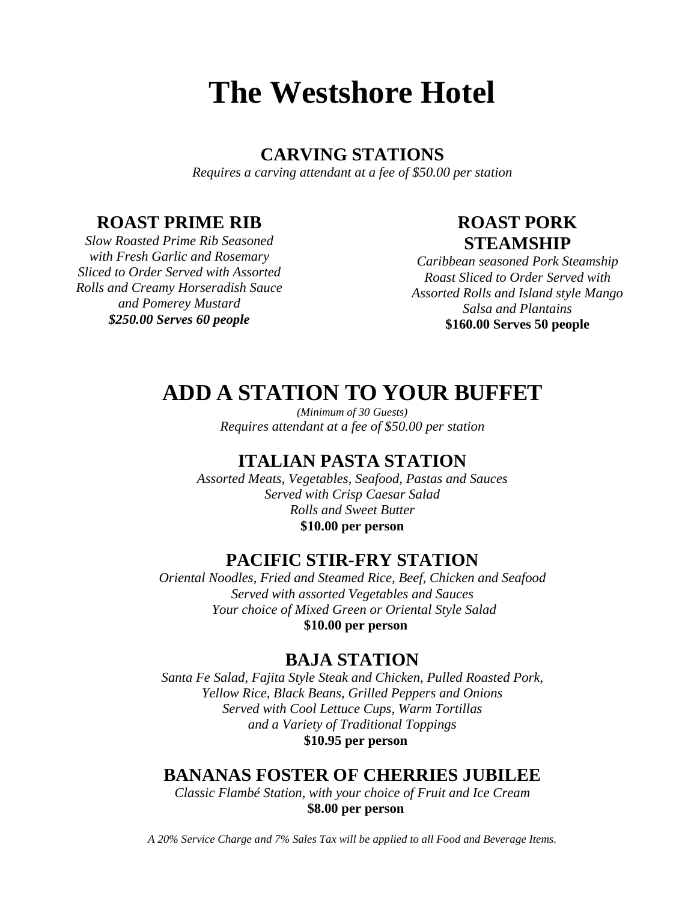# **CARVING STATIONS**

*Requires a carving attendant at a fee of \$50.00 per station* 

# **ROAST PRIME RIB**

*Slow Roasted Prime Rib Seasoned with Fresh Garlic and Rosemary Sliced to Order Served with Assorted Rolls and Creamy Horseradish Sauce and Pomerey Mustard \$250.00 Serves 60 people*

# **ROAST PORK STEAMSHIP**

*Caribbean seasoned Pork Steamship Roast Sliced to Order Served with Assorted Rolls and Island style Mango Salsa and Plantains* **\$160.00 Serves 50 people**

# **ADD A STATION TO YOUR BUFFET**

*(Minimum of 30 Guests) Requires attendant at a fee of \$50.00 per station* 

# **ITALIAN PASTA STATION**

*Assorted Meats, Vegetables, Seafood, Pastas and Sauces Served with Crisp Caesar Salad Rolls and Sweet Butter* **\$10.00 per person**

# **PACIFIC STIR-FRY STATION**

*Oriental Noodles, Fried and Steamed Rice, Beef, Chicken and Seafood Served with assorted Vegetables and Sauces Your choice of Mixed Green or Oriental Style Salad*  **\$10.00 per person**

# **BAJA STATION**

*Santa Fe Salad, Fajita Style Steak and Chicken, Pulled Roasted Pork, Yellow Rice, Black Beans, Grilled Peppers and Onions Served with Cool Lettuce Cups, Warm Tortillas and a Variety of Traditional Toppings* **\$10.95 per person**

# **BANANAS FOSTER OF CHERRIES JUBILEE**

*Classic Flambé Station, with your choice of Fruit and Ice Cream*  **\$8.00 per person**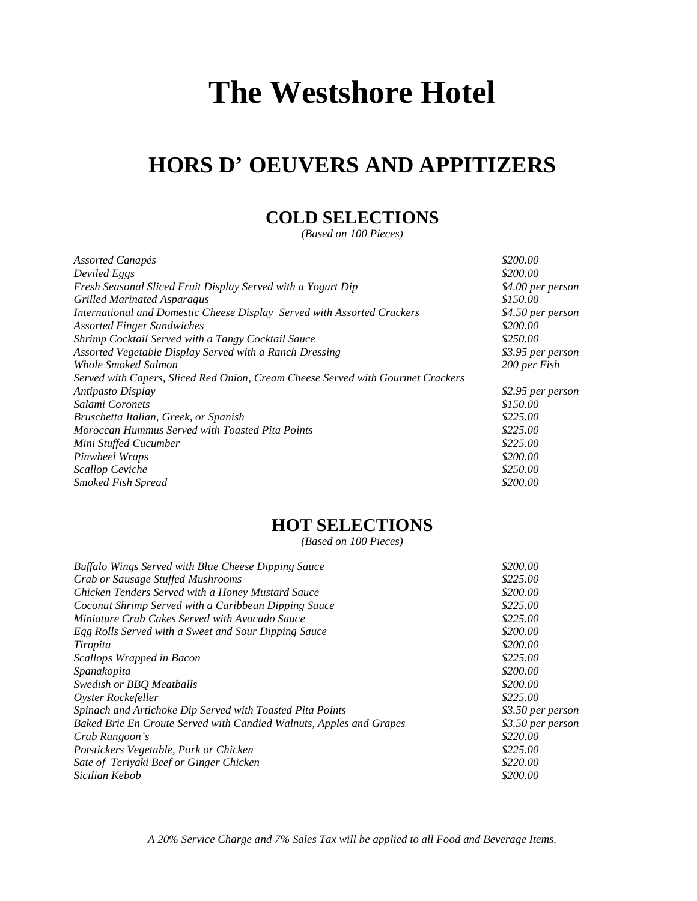# **HORS D' OEUVERS AND APPITIZERS**

# **COLD SELECTIONS**

*(Based on 100 Pieces)*

| \$200.00<br>Deviled Eggs<br>Fresh Seasonal Sliced Fruit Display Served with a Yogurt Dip<br>\$150.00<br><b>Grilled Marinated Asparagus</b><br>International and Domestic Cheese Display Served with Assorted Crackers<br>\$200.00<br><b>Assorted Finger Sandwiches</b><br>\$250.00<br>Shrimp Cocktail Served with a Tangy Cocktail Sauce<br>Assorted Vegetable Display Served with a Ranch Dressing<br>Whole Smoked Salmon<br>200 per Fish<br>Served with Capers, Sliced Red Onion, Cream Cheese Served with Gourmet Crackers<br>Antipasto Display<br>\$150.00<br>Salami Coronets<br>\$225.00<br>Bruschetta Italian, Greek, or Spanish<br>Moroccan Hummus Served with Toasted Pita Points<br>\$225.00<br>\$225.00<br>Mini Stuffed Cucumber<br>\$200.00<br>Pinwheel Wraps<br>\$250.00<br><b>Scallop Ceviche</b><br>\$200.00<br><b>Smoked Fish Spread</b> | Assorted Canapés | \$200.00          |
|---------------------------------------------------------------------------------------------------------------------------------------------------------------------------------------------------------------------------------------------------------------------------------------------------------------------------------------------------------------------------------------------------------------------------------------------------------------------------------------------------------------------------------------------------------------------------------------------------------------------------------------------------------------------------------------------------------------------------------------------------------------------------------------------------------------------------------------------------------|------------------|-------------------|
|                                                                                                                                                                                                                                                                                                                                                                                                                                                                                                                                                                                                                                                                                                                                                                                                                                                         |                  |                   |
|                                                                                                                                                                                                                                                                                                                                                                                                                                                                                                                                                                                                                                                                                                                                                                                                                                                         |                  | \$4.00 per person |
|                                                                                                                                                                                                                                                                                                                                                                                                                                                                                                                                                                                                                                                                                                                                                                                                                                                         |                  |                   |
|                                                                                                                                                                                                                                                                                                                                                                                                                                                                                                                                                                                                                                                                                                                                                                                                                                                         |                  | \$4.50 per person |
|                                                                                                                                                                                                                                                                                                                                                                                                                                                                                                                                                                                                                                                                                                                                                                                                                                                         |                  |                   |
|                                                                                                                                                                                                                                                                                                                                                                                                                                                                                                                                                                                                                                                                                                                                                                                                                                                         |                  |                   |
|                                                                                                                                                                                                                                                                                                                                                                                                                                                                                                                                                                                                                                                                                                                                                                                                                                                         |                  | \$3.95 per person |
|                                                                                                                                                                                                                                                                                                                                                                                                                                                                                                                                                                                                                                                                                                                                                                                                                                                         |                  |                   |
|                                                                                                                                                                                                                                                                                                                                                                                                                                                                                                                                                                                                                                                                                                                                                                                                                                                         |                  |                   |
|                                                                                                                                                                                                                                                                                                                                                                                                                                                                                                                                                                                                                                                                                                                                                                                                                                                         |                  | \$2.95 per person |
|                                                                                                                                                                                                                                                                                                                                                                                                                                                                                                                                                                                                                                                                                                                                                                                                                                                         |                  |                   |
|                                                                                                                                                                                                                                                                                                                                                                                                                                                                                                                                                                                                                                                                                                                                                                                                                                                         |                  |                   |
|                                                                                                                                                                                                                                                                                                                                                                                                                                                                                                                                                                                                                                                                                                                                                                                                                                                         |                  |                   |
|                                                                                                                                                                                                                                                                                                                                                                                                                                                                                                                                                                                                                                                                                                                                                                                                                                                         |                  |                   |
|                                                                                                                                                                                                                                                                                                                                                                                                                                                                                                                                                                                                                                                                                                                                                                                                                                                         |                  |                   |
|                                                                                                                                                                                                                                                                                                                                                                                                                                                                                                                                                                                                                                                                                                                                                                                                                                                         |                  |                   |
|                                                                                                                                                                                                                                                                                                                                                                                                                                                                                                                                                                                                                                                                                                                                                                                                                                                         |                  |                   |

# **HOT SELECTIONS**

*(Based on 100 Pieces)*

| <b>Buffalo Wings Served with Blue Cheese Dipping Sauce</b>          | \$200.00          |
|---------------------------------------------------------------------|-------------------|
| Crab or Sausage Stuffed Mushrooms                                   | \$225.00          |
| Chicken Tenders Served with a Honey Mustard Sauce                   | \$200.00          |
| Coconut Shrimp Served with a Caribbean Dipping Sauce                | \$225.00          |
| Miniature Crab Cakes Served with Avocado Sauce                      | \$225.00          |
| Egg Rolls Served with a Sweet and Sour Dipping Sauce                | \$200.00          |
| Tiropita                                                            | \$200.00          |
| Scallops Wrapped in Bacon                                           | \$225.00          |
| Spanakopita                                                         | \$200.00          |
| Swedish or BBQ Meatballs                                            | \$200.00          |
| Oyster Rockefeller                                                  | \$225.00          |
| Spinach and Artichoke Dip Served with Toasted Pita Points           | \$3.50 per person |
| Baked Brie En Croute Served with Candied Walnuts, Apples and Grapes | \$3.50 per person |
| Crab Rangoon's                                                      | \$220.00          |
| Potstickers Vegetable, Pork or Chicken                              | \$225.00          |
| Sate of Teriyaki Beef or Ginger Chicken                             | \$220.00          |
| Sicilian Kebob                                                      | \$200.00          |
|                                                                     |                   |